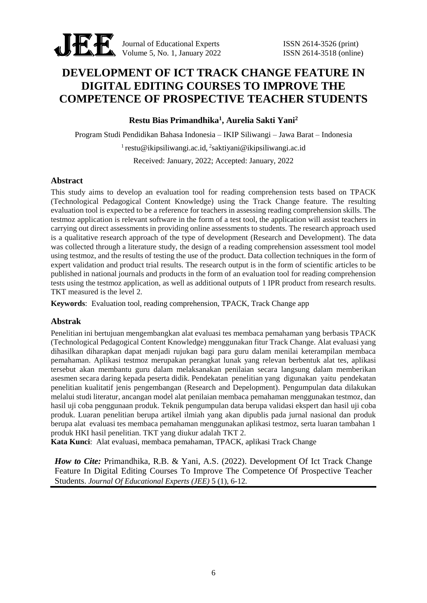

Journal of Educational Experts ISSN 2614-3526 (print) Volume 5, No. 1, January 2022<br>
Sixteenth SSN 2614-3518 (online)

# **DEVELOPMENT OF ICT TRACK CHANGE FEATURE IN DIGITAL EDITING COURSES TO IMPROVE THE COMPETENCE OF PROSPECTIVE TEACHER STUDENTS**

**Restu Bias Primandhika<sup>1</sup> , Aurelia Sakti Yani<sup>2</sup>**

Program Studi Pendidikan Bahasa Indonesia – IKIP Siliwangi – Jawa Barat – Indonesia

<sup>1</sup> restu@ikipsiliwangi.ac.id, <sup>2</sup>saktiyani@ikipsiliwangi.ac.id

Received: January, 2022; Accepted: January, 2022

## **Abstract**

This study aims to develop an evaluation tool for reading comprehension tests based on TPACK (Technological Pedagogical Content Knowledge) using the Track Change feature. The resulting evaluation tool is expected to be a reference for teachers in assessing reading comprehension skills. The testmoz application is relevant software in the form of a test tool, the application will assist teachers in carrying out direct assessments in providing online assessments to students. The research approach used is a qualitative research approach of the type of development (Research and Development). The data was collected through a literature study, the design of a reading comprehension assessment tool model using testmoz, and the results of testing the use of the product. Data collection techniques in the form of expert validation and product trial results. The research output is in the form of scientific articles to be published in national journals and products in the form of an evaluation tool for reading comprehension tests using the testmoz application, as well as additional outputs of 1 IPR product from research results. TKT measured is the level 2.

**Keywords**: Evaluation tool, reading comprehension, TPACK, Track Change app

## **Abstrak**

Penelitian ini bertujuan mengembangkan alat evaluasi tes membaca pemahaman yang berbasis TPACK (Technological Pedagogical Content Knowledge) menggunakan fitur Track Change. Alat evaluasi yang dihasilkan diharapkan dapat menjadi rujukan bagi para guru dalam menilai keterampilan membaca pemahaman. Aplikasi testmoz merupakan perangkat lunak yang relevan berbentuk alat tes, aplikasi tersebut akan membantu guru dalam melaksanakan penilaian secara langsung dalam memberikan asesmen secara daring kepada peserta didik. Pendekatan penelitian yang digunakan yaitu pendekatan penelitian kualitatif jenis pengembangan (Research and Depelopment). Pengumpulan data dilakukan melalui studi literatur, ancangan model alat penilaian membaca pemahaman menggunakan testmoz, dan hasil uji coba penggunaan produk. Teknik pengumpulan data berupa validasi ekspert dan hasil uji coba produk. Luaran penelitian berupa artikel ilmiah yang akan dipublis pada jurnal nasional dan produk berupa alat evaluasi tes membaca pemahaman menggunakan aplikasi testmoz, serta luaran tambahan 1 produk HKI hasil penelitian. TKT yang diukur adalah TKT 2.

**Kata Kunci**: Alat evaluasi, membaca pemahaman, TPACK, aplikasi Track Change

*How to Cite: Primandhika, R.B. & Yani, A.S. (2022). Development Of Ict Track Change* Feature In Digital Editing Courses To Improve The Competence Of Prospective Teacher Students. *Journal Of Educational Experts (JEE)* 5 (1), 6-12.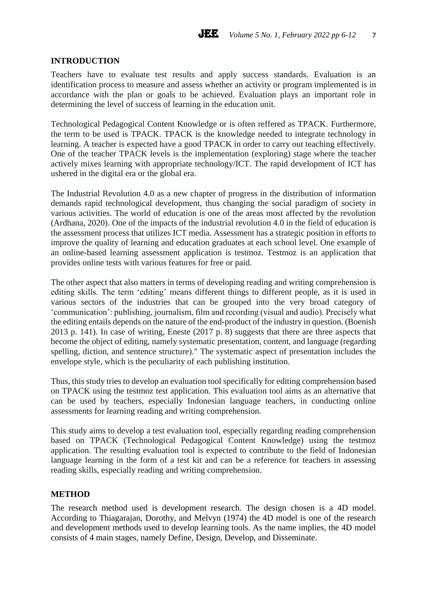## **INTRODUCTION**

Teachers have to evaluate test results and apply success standards. Evaluation is an identification process to measure and assess whether an activity or program implemented is in accordance with the plan or goals to be achieved. Evaluation plays an important role in determining the level of success of learning in the education unit.

Technological Pedagogical Content Knowledge or is often reffered as TPACK. Furthermore, the term to be used is TPACK. TPACK is the knowledge needed to integrate technology in learning. A teacher is expected have a good TPACK in order to carry out teaching effectively. One of the teacher TPACK levels is the implementation (exploring) stage where the teacher actively mixes learning with appropriate technology/ICT. The rapid development of ICT has ushered in the digital era or the global era.

The Industrial Revolution 4.0 as a new chapter of progress in the distribution of information demands rapid technological development, thus changing the social paradigm of society in various activities. The world of education is one of the areas most affected by the revolution (Ardhana, 2020). One of the impacts of the industrial revolution 4.0 in the field of education is the assessment process that utilizes ICT media. Assessment has a strategic position in efforts to improve the quality of learning and education graduates at each school level. One example of an online-based learning assessment application is testmoz. Testmoz is an application that provides online tests with various features for free or paid.

The other aspect that also matters in terms of developing reading and writing comprehension is editing skills. The term 'editing' means different things to different people, as it is used in various sectors of the industries that can be grouped into the very broad category of 'communication': publishing, journalism, film and recording (visual and audio). Precisely what the editing entails depends on the nature of the end-product of the industry in question. (Boenish 2013 p. 141). In case of writing, Eneste (2017 p. 8) suggests that there are three aspects that become the object of editing, namely systematic presentation, content, and language (regarding spelling, diction, and sentence structure)." The systematic aspect of presentation includes the envelope style, which is the peculiarity of each publishing institution.

Thus, this study tries to develop an evaluation tool specifically for editing comprehension based on TPACK using the testmoz test application. This evaluation tool aims as an alternative that can be used by teachers, especially Indonesian language teachers, in conducting online assessments for learning reading and writing comprehension.

This study aims to develop a test evaluation tool, especially regarding reading comprehension based on TPACK (Technological Pedagogical Content Knowledge) using the testmoz application. The resulting evaluation tool is expected to contribute to the field of Indonesian language learning in the form of a test kit and can be a reference for teachers in assessing reading skills, especially reading and writing comprehension.

#### **METHOD**

The research method used is development research. The design chosen is a 4D model. According to Thiagarajan, Dorothy, and Melvyn (1974) the 4D model is one of the research and development methods used to develop learning tools. As the name implies, the 4D model consists of 4 main stages, namely Define, Design, Develop, and Disseminate.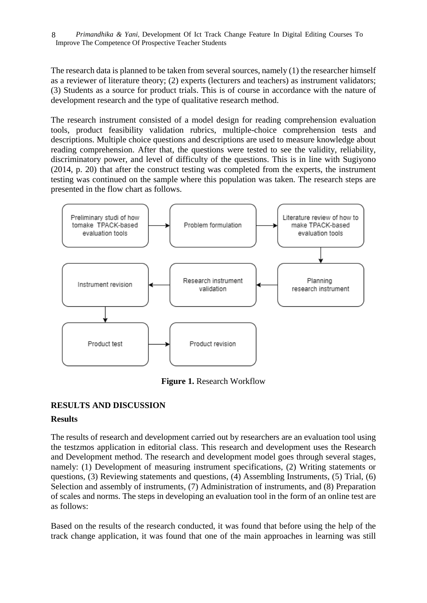The research data is planned to be taken from several sources, namely (1) the researcher himself as a reviewer of literature theory; (2) experts (lecturers and teachers) as instrument validators; (3) Students as a source for product trials. This is of course in accordance with the nature of development research and the type of qualitative research method.

The research instrument consisted of a model design for reading comprehension evaluation tools, product feasibility validation rubrics, multiple-choice comprehension tests and descriptions. Multiple choice questions and descriptions are used to measure knowledge about reading comprehension. After that, the questions were tested to see the validity, reliability, discriminatory power, and level of difficulty of the questions. This is in line with Sugiyono (2014, p. 20) that after the construct testing was completed from the experts, the instrument testing was continued on the sample where this population was taken. The research steps are presented in the flow chart as follows.



**Figure 1.** Research Workflow

## **RESULTS AND DISCUSSION**

## **Results**

The results of research and development carried out by researchers are an evaluation tool using the testzmos application in editorial class. This research and development uses the Research and Development method. The research and development model goes through several stages, namely: (1) Development of measuring instrument specifications, (2) Writing statements or questions, (3) Reviewing statements and questions, (4) Assembling Instruments, (5) Trial, (6) Selection and assembly of instruments, (7) Administration of instruments, and (8) Preparation of scales and norms. The steps in developing an evaluation tool in the form of an online test are as follows:

Based on the results of the research conducted, it was found that before using the help of the track change application, it was found that one of the main approaches in learning was still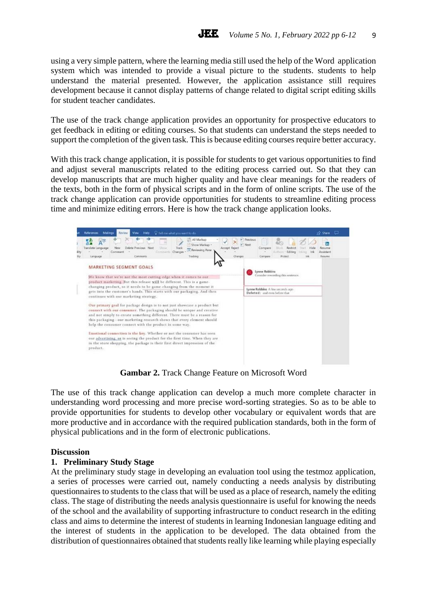using a very simple pattern, where the learning media still used the help of the Word application system which was intended to provide a visual picture to the students. students to help understand the material presented. However, the application assistance still requires development because it cannot display patterns of change related to digital script editing skills for student teacher candidates.

The use of the track change application provides an opportunity for prospective educators to get feedback in editing or editing courses. So that students can understand the steps needed to support the completion of the given task. This is because editing courses require better accuracy.

With this track change application, it is possible for students to get various opportunities to find and adjust several manuscripts related to the editing process carried out. So that they can develop manuscripts that are much higher quality and have clear meanings for the readers of the texts, both in the form of physical scripts and in the form of online scripts. The use of the track change application can provide opportunities for students to streamline editing process time and minimize editing errors. Here is how the track change application looks.



**Gambar 2.** Track Change Feature on Microsoft Word

The use of this track change application can develop a much more complete character in understanding word processing and more precise word-sorting strategies. So as to be able to provide opportunities for students to develop other vocabulary or equivalent words that are more productive and in accordance with the required publication standards, both in the form of physical publications and in the form of electronic publications.

#### **Discussion**

#### **1. Preliminary Study Stage**

At the preliminary study stage in developing an evaluation tool using the testmoz application, a series of processes were carried out, namely conducting a needs analysis by distributing questionnaires to students to the class that will be used as a place of research, namely the editing class. The stage of distributing the needs analysis questionnaire is useful for knowing the needs of the school and the availability of supporting infrastructure to conduct research in the editing class and aims to determine the interest of students in learning Indonesian language editing and the interest of students in the application to be developed. The data obtained from the distribution of questionnaires obtained that students really like learning while playing especially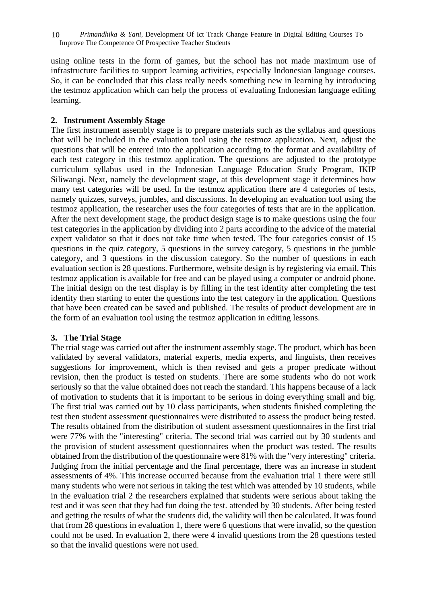using online tests in the form of games, but the school has not made maximum use of infrastructure facilities to support learning activities, especially Indonesian language courses. So, it can be concluded that this class really needs something new in learning by introducing the testmoz application which can help the process of evaluating Indonesian language editing learning.

## **2. Instrument Assembly Stage**

The first instrument assembly stage is to prepare materials such as the syllabus and questions that will be included in the evaluation tool using the testmoz application. Next, adjust the questions that will be entered into the application according to the format and availability of each test category in this testmoz application. The questions are adjusted to the prototype curriculum syllabus used in the Indonesian Language Education Study Program, IKIP Siliwangi. Next, namely the development stage, at this development stage it determines how many test categories will be used. In the testmoz application there are 4 categories of tests, namely quizzes, surveys, jumbles, and discussions. In developing an evaluation tool using the testmoz application, the researcher uses the four categories of tests that are in the application. After the next development stage, the product design stage is to make questions using the four test categories in the application by dividing into 2 parts according to the advice of the material expert validator so that it does not take time when tested. The four categories consist of 15 questions in the quiz category, 5 questions in the survey category, 5 questions in the jumble category, and 3 questions in the discussion category. So the number of questions in each evaluation section is 28 questions. Furthermore, website design is by registering via email. This testmoz application is available for free and can be played using a computer or android phone. The initial design on the test display is by filling in the test identity after completing the test identity then starting to enter the questions into the test category in the application. Questions that have been created can be saved and published. The results of product development are in the form of an evaluation tool using the testmoz application in editing lessons.

## **3. The Trial Stage**

The trial stage was carried out after the instrument assembly stage. The product, which has been validated by several validators, material experts, media experts, and linguists, then receives suggestions for improvement, which is then revised and gets a proper predicate without revision, then the product is tested on students. There are some students who do not work seriously so that the value obtained does not reach the standard. This happens because of a lack of motivation to students that it is important to be serious in doing everything small and big. The first trial was carried out by 10 class participants, when students finished completing the test then student assessment questionnaires were distributed to assess the product being tested. The results obtained from the distribution of student assessment questionnaires in the first trial were 77% with the "interesting" criteria. The second trial was carried out by 30 students and the provision of student assessment questionnaires when the product was tested. The results obtained from the distribution of the questionnaire were 81% with the "very interesting" criteria. Judging from the initial percentage and the final percentage, there was an increase in student assessments of 4%. This increase occurred because from the evaluation trial 1 there were still many students who were not serious in taking the test which was attended by 10 students, while in the evaluation trial 2 the researchers explained that students were serious about taking the test and it was seen that they had fun doing the test. attended by 30 students. After being tested and getting the results of what the students did, the validity will then be calculated. It was found that from 28 questions in evaluation 1, there were 6 questions that were invalid, so the question could not be used. In evaluation 2, there were 4 invalid questions from the 28 questions tested so that the invalid questions were not used.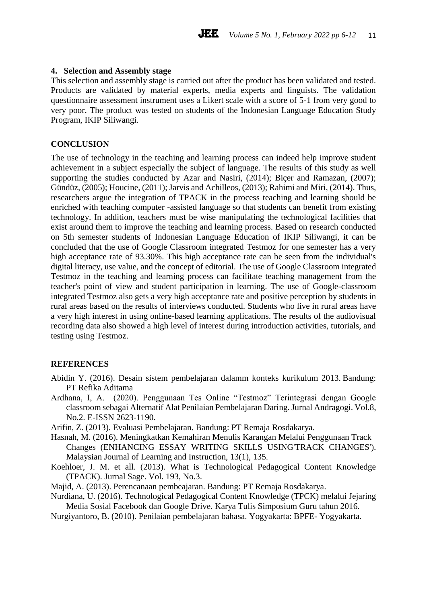#### **4. Selection and Assembly stage**

This selection and assembly stage is carried out after the product has been validated and tested. Products are validated by material experts, media experts and linguists. The validation questionnaire assessment instrument uses a Likert scale with a score of 5-1 from very good to very poor. The product was tested on students of the Indonesian Language Education Study Program, IKIP Siliwangi.

#### **CONCLUSION**

The use of technology in the teaching and learning process can indeed help improve student achievement in a subject especially the subject of language. The results of this study as well supporting the studies conducted by Azar and Nasiri, (2014); Biçer and Ramazan, (2007); Gündüz, (2005); Houcine, (2011); Jarvis and Achilleos, (2013); Rahimi and Miri, (2014). Thus, researchers argue the integration of TPACK in the process teaching and learning should be enriched with teaching computer -assisted language so that students can benefit from existing technology. In addition, teachers must be wise manipulating the technological facilities that exist around them to improve the teaching and learning process. Based on research conducted on 5th semester students of Indonesian Language Education of IKIP Siliwangi, it can be concluded that the use of Google Classroom integrated Testmoz for one semester has a very high acceptance rate of 93.30%. This high acceptance rate can be seen from the individual's digital literacy, use value, and the concept of editorial. The use of Google Classroom integrated Testmoz in the teaching and learning process can facilitate teaching management from the teacher's point of view and student participation in learning. The use of Google-classroom integrated Testmoz also gets a very high acceptance rate and positive perception by students in rural areas based on the results of interviews conducted. Students who live in rural areas have a very high interest in using online-based learning applications. The results of the audiovisual recording data also showed a high level of interest during introduction activities, tutorials, and testing using Testmoz.

#### **REFERENCES**

- Abidin Y. (2016). Desain sistem pembelajaran dalamm konteks kurikulum 2013. Bandung: PT Refika Aditama
- Ardhana, I, A. (2020). Penggunaan Tes Online "Testmoz" Terintegrasi dengan Google classroom sebagai Alternatif Alat Penilaian Pembelajaran Daring. Jurnal Andragogi. Vol.8, No.2. E-ISSN 2623-1190.
- Arifin, Z. (2013). Evaluasi Pembelajaran. Bandung: PT Remaja Rosdakarya.
- Hasnah, M. (2016). Meningkatkan Kemahiran Menulis Karangan Melalui Penggunaan Track Changes (ENHANCING ESSAY WRITING SKILLS USING'TRACK CHANGES'). Malaysian Journal of Learning and Instruction, 13(1), 135.
- Koehloer, J. M. et all. (2013). What is Technological Pedagogical Content Knowledge (TPACK). Jurnal Sage. Vol. 193, No.3.
- Majid, A. (2013). Perencanaan pembeajaran. Bandung: PT Remaja Rosdakarya.
- Nurdiana, U. (2016). Technological Pedagogical Content Knowledge (TPCK) melalui Jejaring Media Sosial Facebook dan Google Drive. Karya Tulis Simposium Guru tahun 2016.
- Nurgiyantoro, B. (2010). Penilaian pembelajaran bahasa. Yogyakarta: BPFE- Yogyakarta.